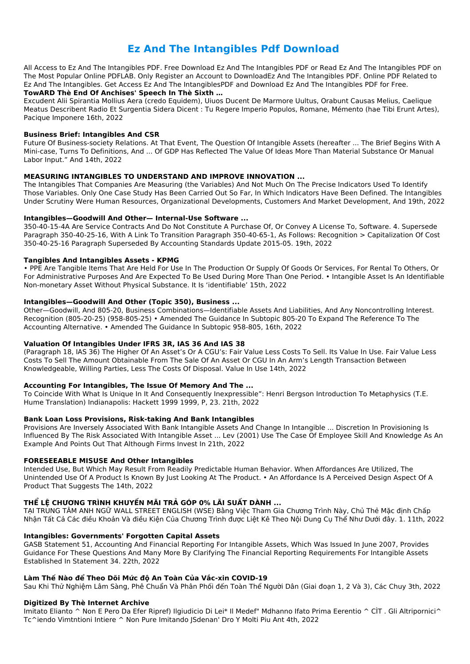# **Ez And The Intangibles Pdf Download**

All Access to Ez And The Intangibles PDF. Free Download Ez And The Intangibles PDF or Read Ez And The Intangibles PDF on The Most Popular Online PDFLAB. Only Register an Account to DownloadEz And The Intangibles PDF. Online PDF Related to Ez And The Intangibles. Get Access Ez And The IntangiblesPDF and Download Ez And The Intangibles PDF for Free.

#### TowARD Thè End Of Anchises' Speech In Thè Sixth ...

Excudent Alii Spirantia Mollius Aera (credo Equidem), Uiuos Ducent De Marmore Uultus, Orabunt Causas Melius, Caelique Meatus Describent Radio Et Surgentia Sidera Dicent : Tu Regere Imperio Populos, Romane, Mémento (hae Tibi Erunt Artes), Pacique Imponere 16th, 2022

#### **Business Brief: Intangibles And CSR**

Future Of Business-society Relations. At That Event, The Question Of Intangible Assets (hereafter ... The Brief Begins With A Mini-case, Turns To Definitions, And ... Of GDP Has Reflected The Value Of Ideas More Than Material Substance Or Manual Labor Input." And 14th, 2022

### **MEASURING INTANGIBLES TO UNDERSTAND AND IMPROVE INNOVATION ...**

The Intangibles That Companies Are Measuring (the Variables) And Not Much On The Precise Indicators Used To Identify Those Variables. Only One Case Study Has Been Carried Out So Far, In Which Indicators Have Been Defined. The Intangibles Under Scrutiny Were Human Resources, Organizational Developments, Customers And Market Development, And 19th, 2022

### Intangibles-Goodwill And Other-Internal-Use Software ...

350-40-15-4A Are Service Contracts And Do Not Constitute A Purchase Of, Or Convey A License To, Software. 4. Supersede Paragraph 350-40-25-16, With A Link To Transition Paragraph 350-40-65-1, As Follows: Recognition > Capitalization Of Cost 350-40-25-16 Paragraph Superseded By Accounting Standards Update 2015-05. 19th, 2022

#### **Tangibles And Intangibles Assets - KPMG**

• PPE Are Tangible Items That Are Held For Use In The Production Or Supply Of Goods Or Services, For Rental To Others, Or For Administrative Purposes And Are Expected To Be Used During More Than One Period. • Intangible Asset Is An Identifiable Non-monetary Asset Without Physical Substance. It Is 'identifiable' 15th, 2022

#### Intangibles-Goodwill And Other (Topic 350), Business ...

Other-Goodwill, And 805-20, Business Combinations-Identifiable Assets And Liabilities, And Any Noncontrolling Interest. Recognition (805-20-25) (958-805-25) • Amended The Guidance In Subtopic 805-20 To Expand The Reference To The Accounting Alternative. • Amended The Guidance In Subtopic 958-805, 16th, 2022

# Valuation Of Intangibles Under IFRS 3R, IAS 36 And IAS 38

(Paragraph 18, IAS 36) The Higher Of An Asset's Or A CGU's: Fair Value Less Costs To Sell. Its Value In Use. Fair Value Less Costs To Sell The Amount Obtainable From The Sale Of An Asset Or CGU In An Arm's Length Transaction Between Knowledgeable, Willing Parties, Less The Costs Of Disposal. Value In Use 14th, 2022

#### Accounting For Intangibles, The Issue Of Memory And The ...

To Coincide With What Is Unique In It And Consequently Inexpressible": Henri Bergson Introduction To Metaphysics (T.E. Hume Translation) Indianapolis: Hackett 1999 1999, P, 23. 21th, 2022

# **Bank Loan Loss Provisions, Risk-taking And Bank Intangibles**

Provisions Are Inversely Associated With Bank Intangible Assets And Change In Intangible ... Discretion In Provisioning Is Influenced By The Risk Associated With Intangible Asset ... Lev (2001) Use The Case Of Employee Skill And Knowledge As An Example And Points Out That Although Firms Invest In 21th, 2022

# **FORESEEABLE MISUSE And Other Intangibles**

Intended Use, But Which May Result From Readily Predictable Human Behavior. When Affordances Are Utilized, The Unintended Use Of A Product Is Known By Just Looking At The Product. • An Affordance Is A Perceived Design Aspect Of A Product That Suggests The 14th, 2022

# THỂ LỆ CHƯƠNG TRÌNH KHUYẾN MÃI TRẢ GÓP 0% LÃI SUẤT DÀNH ...

TAI TRUNG TÂM ANH NGỮ WALL STREET ENGLISH (WSE) Bằng Việc Tham Gia Chương Trình Này, Chủ Thẻ Mặc định Chấp Nhận Tất Cả Các điều Khoản Và điều Kiện Của Chương Trình được Liệt Kê Theo Nội Dung Cụ Thể Như Dưới đây. 1. 11th, 2022

#### **Intangibles: Governments' Forgotten Capital Assets**

GASB Statement 51, Accounting And Financial Reporting For Intangible Assets, Which Was Issued In June 2007, Provides Guidance For These Questions And Many More By Clarifying The Financial Reporting Requirements For Intangible Assets Established In Statement 34. 22th, 2022

#### Làm Thế Nào để Theo Dõi Mức độ An Toàn Của Vắc-xin COVID-19

Sau Khi Thử Nghiệm Lâm Sàng, Phê Chuẩn Và Phân Phối đến Toàn Thể Người Dân (Giai đoạn 1, 2 Và 3), Các Chuy 3th, 2022

#### **Digitized By Thè Internet Archive**

Imitato Elianto ^ Non E Pero Da Efer Ripref) Ilgiudicio Di Lei\* Il Medef" Mdhanno Ifato Prima Eerentio ^ CIT. Gli Altripornici^ Tc^iendo Vimtntioni Intiere ^ Non Pure Imitando | Sdenan' Dro Y Molti Piu Ant 4th, 2022